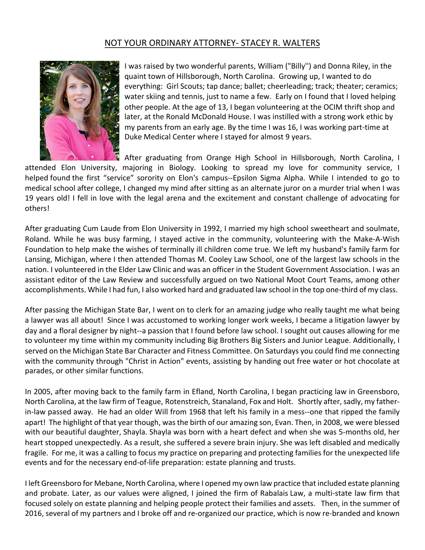## NOT YOUR ORDINARY ATTORNEY- STACEY R. WALTERS



I was raised by two wonderful parents, William ("Billy") and Donna Riley, in the quaint town of Hillsborough, North Carolina. Growing up, I wanted to do everything: Girl Scouts; tap dance; ballet; cheerleading; track; theater; ceramics; water skiing and tennis, just to name a few. Early on I found that I loved helping other people. At the age of 13, I began volunteering at the OCIM thrift shop and later, at the Ronald McDonald House. I was instilled with a strong work ethic by my parents from an early age. By the time I was 16, I was working part-time at Duke Medical Center where I stayed for almost 9 years.

After graduating from Orange High School in Hillsborough, North Carolina, I

attended Elon University, majoring in Biology. Looking to spread my love for community service, I helped found the first "service" sorority on Elon's campus--Epsilon Sigma Alpha. While I intended to go to medical school after college, I changed my mind after sitting as an alternate juror on a murder trial when I was 19 years old! I fell in love with the legal arena and the excitement and constant challenge of advocating for others!

After graduating Cum Laude from Elon University in 1992, I married my high school sweetheart and soulmate, Roland. While he was busy farming, I stayed active in the community, volunteering with the Make-A-Wish Foundation to help make the wishes of terminally ill children come true. We left my husband's family farm for Lansing, Michigan, where I then attended Thomas M. Cooley Law School, one of the largest law schools in the nation. I volunteered in the Elder Law Clinic and was an officer in the Student Government Association. I was an assistant editor of the Law Review and successfully argued on two National Moot Court Teams, among other accomplishments. While I had fun, I also worked hard and graduated law school in the top one-third of my class.

After passing the Michigan State Bar, I went on to clerk for an amazing judge who really taught me what being a lawyer was all about! Since I was accustomed to working longer work weeks, I became a litigation lawyer by day and a floral designer by night--a passion that I found before law school. I sought out causes allowing for me to volunteer my time within my community including Big Brothers Big Sisters and Junior League. Additionally, I served on the Michigan State Bar Character and Fitness Committee. On Saturdays you could find me connecting with the community through "Christ in Action" events, assisting by handing out free water or hot chocolate at parades, or other similar functions.

In 2005, after moving back to the family farm in Efland, North Carolina, I began practicing law in Greensboro, North Carolina, at the law firm of Teague, Rotenstreich, Stanaland, Fox and Holt. Shortly after, sadly, my fatherin-law passed away. He had an older Will from 1968 that left his family in a mess--one that ripped the family apart! The highlight of that year though, was the birth of our amazing son, Evan. Then, in 2008, we were blessed with our beautiful daughter, Shayla. Shayla was born with a heart defect and when she was 5-months old, her heart stopped unexpectedly. As a result, she suffered a severe brain injury. She was left disabled and medically fragile. For me, it was a calling to focus my practice on preparing and protecting families for the unexpected life events and for the necessary end-of-life preparation: estate planning and trusts.

I left Greensboro for Mebane, North Carolina, where I opened my own law practice that included estate planning and probate. Later, as our values were aligned, I joined the firm of Rabalais Law, a multi-state law firm that focused solely on estate planning and helping people protect their families and assets. Then, in the summer of 2016, several of my partners and I broke off and re-organized our practice, which is now re-branded and known